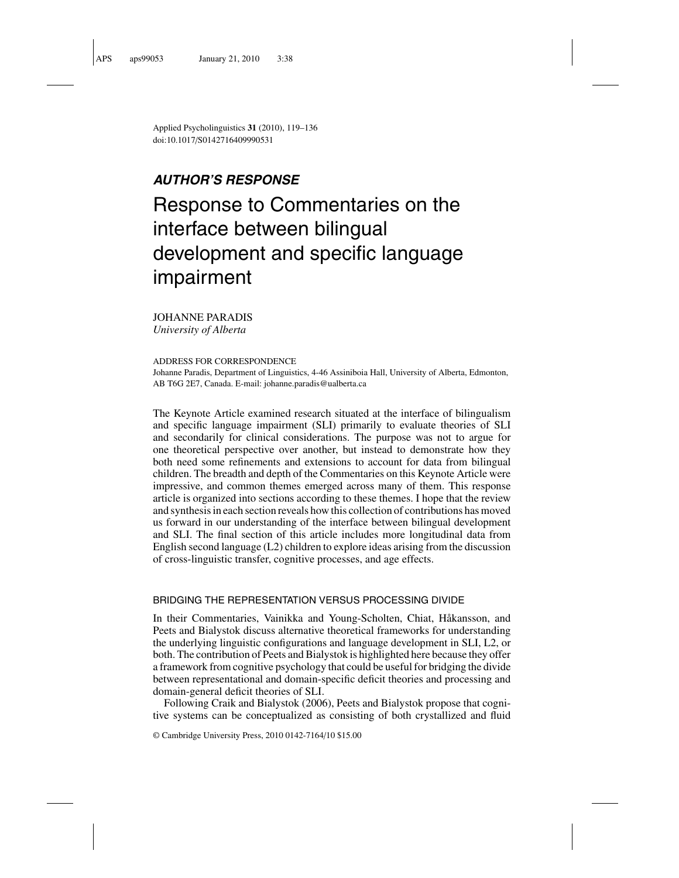Applied Psycholinguistics **31** (2010), 119–136 doi:10.1017/S0142716409990531

# **AUTHOR'S RESPONSE**

# Response to Commentaries on the interface between bilingual development and specific language impairment

JOHANNE PARADIS *University of Alberta*

ADDRESS FOR CORRESPONDENCE

Johanne Paradis, Department of Linguistics, 4-46 Assiniboia Hall, University of Alberta, Edmonton, AB T6G 2E7, Canada. E-mail: johanne.paradis@ualberta.ca

The Keynote Article examined research situated at the interface of bilingualism and specific language impairment (SLI) primarily to evaluate theories of SLI and secondarily for clinical considerations. The purpose was not to argue for one theoretical perspective over another, but instead to demonstrate how they both need some refinements and extensions to account for data from bilingual children. The breadth and depth of the Commentaries on this Keynote Article were impressive, and common themes emerged across many of them. This response article is organized into sections according to these themes. I hope that the review and synthesis in each section reveals how this collection of contributions has moved us forward in our understanding of the interface between bilingual development and SLI. The final section of this article includes more longitudinal data from English second language (L2) children to explore ideas arising from the discussion of cross-linguistic transfer, cognitive processes, and age effects.

### BRIDGING THE REPRESENTATION VERSUS PROCESSING DIVIDE

In their Commentaries, Vainikka and Young-Scholten, Chiat, Håkansson, and Peets and Bialystok discuss alternative theoretical frameworks for understanding the underlying linguistic configurations and language development in SLI, L2, or both. The contribution of Peets and Bialystok is highlighted here because they offer a framework from cognitive psychology that could be useful for bridging the divide between representational and domain-specific deficit theories and processing and domain-general deficit theories of SLI.

Following Craik and Bialystok (2006), Peets and Bialystok propose that cognitive systems can be conceptualized as consisting of both crystallized and fluid

© Cambridge University Press, 2010 0142-7164/10 \$15.00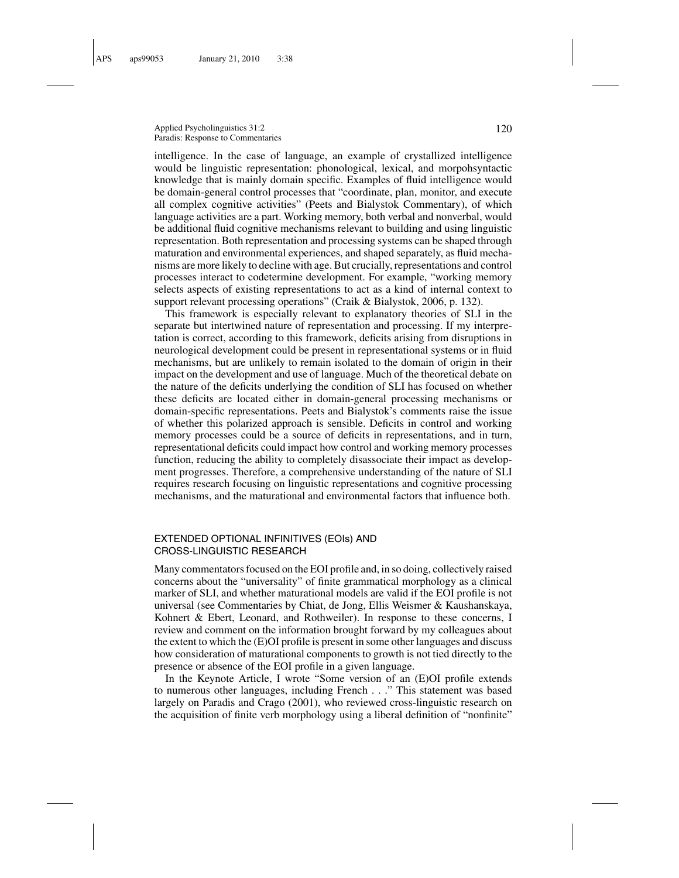Applied Psycholinguistics 31:2 120 Paradis: Response to Commentaries

intelligence. In the case of language, an example of crystallized intelligence would be linguistic representation: phonological, lexical, and morpohsyntactic knowledge that is mainly domain specific. Examples of fluid intelligence would be domain-general control processes that "coordinate, plan, monitor, and execute all complex cognitive activities" (Peets and Bialystok Commentary), of which language activities are a part. Working memory, both verbal and nonverbal, would be additional fluid cognitive mechanisms relevant to building and using linguistic representation. Both representation and processing systems can be shaped through maturation and environmental experiences, and shaped separately, as fluid mechanisms are more likely to decline with age. But crucially, representations and control processes interact to codetermine development. For example, "working memory selects aspects of existing representations to act as a kind of internal context to support relevant processing operations" (Craik & Bialystok, 2006, p. 132).

This framework is especially relevant to explanatory theories of SLI in the separate but intertwined nature of representation and processing. If my interpretation is correct, according to this framework, deficits arising from disruptions in neurological development could be present in representational systems or in fluid mechanisms, but are unlikely to remain isolated to the domain of origin in their impact on the development and use of language. Much of the theoretical debate on the nature of the deficits underlying the condition of SLI has focused on whether these deficits are located either in domain-general processing mechanisms or domain-specific representations. Peets and Bialystok's comments raise the issue of whether this polarized approach is sensible. Deficits in control and working memory processes could be a source of deficits in representations, and in turn, representational deficits could impact how control and working memory processes function, reducing the ability to completely disassociate their impact as development progresses. Therefore, a comprehensive understanding of the nature of SLI requires research focusing on linguistic representations and cognitive processing mechanisms, and the maturational and environmental factors that influence both.

#### EXTENDED OPTIONAL INFINITIVES (EOIs) AND CROSS-LINGUISTIC RESEARCH

Many commentators focused on the EOI profile and, in so doing, collectively raised concerns about the "universality" of finite grammatical morphology as a clinical marker of SLI, and whether maturational models are valid if the EOI profile is not universal (see Commentaries by Chiat, de Jong, Ellis Weismer & Kaushanskaya, Kohnert & Ebert, Leonard, and Rothweiler). In response to these concerns, I review and comment on the information brought forward by my colleagues about the extent to which the (E)OI profile is present in some other languages and discuss how consideration of maturational components to growth is not tied directly to the presence or absence of the EOI profile in a given language.

In the Keynote Article, I wrote "Some version of an (E)OI profile extends to numerous other languages, including French . . ." This statement was based largely on Paradis and Crago (2001), who reviewed cross-linguistic research on the acquisition of finite verb morphology using a liberal definition of "nonfinite"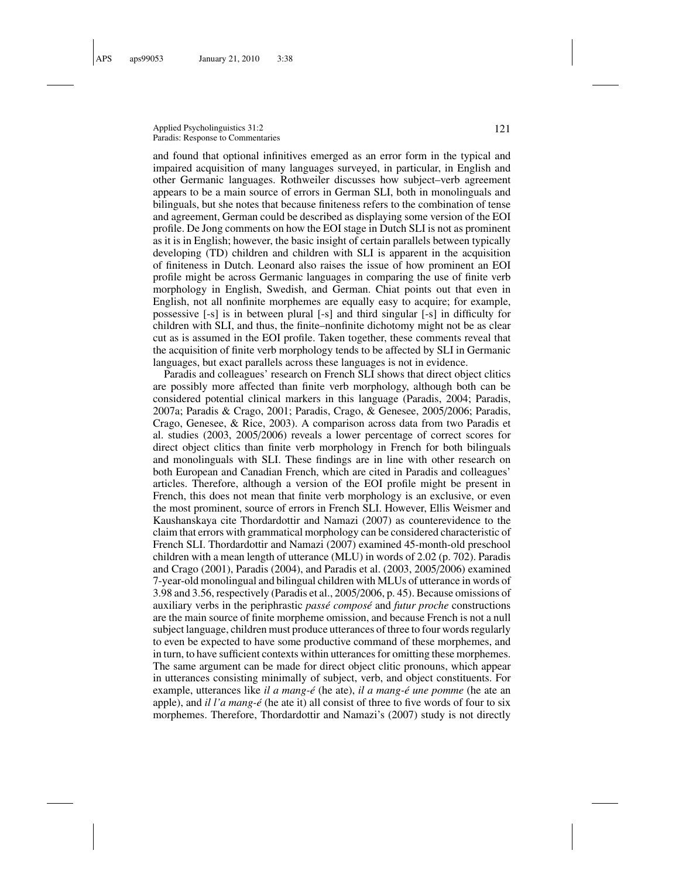Applied Psycholinguistics 31:2 121 Paradis: Response to Commentaries

and found that optional infinitives emerged as an error form in the typical and impaired acquisition of many languages surveyed, in particular, in English and other Germanic languages. Rothweiler discusses how subject–verb agreement appears to be a main source of errors in German SLI, both in monolinguals and bilinguals, but she notes that because finiteness refers to the combination of tense and agreement, German could be described as displaying some version of the EOI profile. De Jong comments on how the EOI stage in Dutch SLI is not as prominent as it is in English; however, the basic insight of certain parallels between typically developing (TD) children and children with SLI is apparent in the acquisition of finiteness in Dutch. Leonard also raises the issue of how prominent an EOI profile might be across Germanic languages in comparing the use of finite verb morphology in English, Swedish, and German. Chiat points out that even in English, not all nonfinite morphemes are equally easy to acquire; for example, possessive [-s] is in between plural [-s] and third singular [-s] in difficulty for children with SLI, and thus, the finite–nonfinite dichotomy might not be as clear cut as is assumed in the EOI profile. Taken together, these comments reveal that the acquisition of finite verb morphology tends to be affected by SLI in Germanic languages, but exact parallels across these languages is not in evidence.

Paradis and colleagues' research on French SLI shows that direct object clitics are possibly more affected than finite verb morphology, although both can be considered potential clinical markers in this language (Paradis, 2004; Paradis, 2007a; Paradis & Crago, 2001; Paradis, Crago, & Genesee, 2005/2006; Paradis, Crago, Genesee, & Rice, 2003). A comparison across data from two Paradis et al. studies (2003, 2005/2006) reveals a lower percentage of correct scores for direct object clitics than finite verb morphology in French for both bilinguals and monolinguals with SLI. These findings are in line with other research on both European and Canadian French, which are cited in Paradis and colleagues' articles. Therefore, although a version of the EOI profile might be present in French, this does not mean that finite verb morphology is an exclusive, or even the most prominent, source of errors in French SLI. However, Ellis Weismer and Kaushanskaya cite Thordardottir and Namazi (2007) as counterevidence to the claim that errors with grammatical morphology can be considered characteristic of French SLI. Thordardottir and Namazi (2007) examined 45-month-old preschool children with a mean length of utterance (MLU) in words of 2.02 (p. 702). Paradis and Crago (2001), Paradis (2004), and Paradis et al. (2003, 2005/2006) examined 7-year-old monolingual and bilingual children with MLUs of utterance in words of 3.98 and 3.56, respectively (Paradis et al., 2005/2006, p. 45). Because omissions of auxiliary verbs in the periphrastic *passe compos ´ e´* and *futur proche* constructions are the main source of finite morpheme omission, and because French is not a null subject language, children must produce utterances of three to four words regularly to even be expected to have some productive command of these morphemes, and in turn, to have sufficient contexts within utterances for omitting these morphemes. The same argument can be made for direct object clitic pronouns, which appear in utterances consisting minimally of subject, verb, and object constituents. For example, utterances like *il a mang-e´* (he ate), *il a mang-e une pomme ´* (he ate an apple), and *il l'a mang-é* (he ate it) all consist of three to five words of four to six morphemes. Therefore, Thordardottir and Namazi's (2007) study is not directly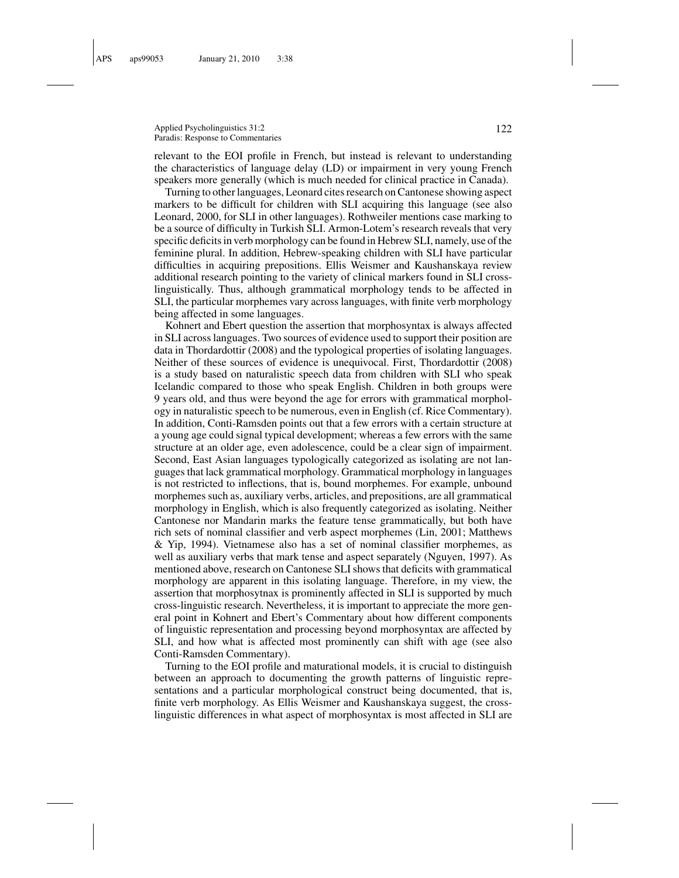#### Applied Psycholinguistics 31:2 122 Paradis: Response to Commentaries

relevant to the EOI profile in French, but instead is relevant to understanding the characteristics of language delay (LD) or impairment in very young French speakers more generally (which is much needed for clinical practice in Canada).

Turning to other languages, Leonard cites research on Cantonese showing aspect markers to be difficult for children with SLI acquiring this language (see also Leonard, 2000, for SLI in other languages). Rothweiler mentions case marking to be a source of difficulty in Turkish SLI. Armon-Lotem's research reveals that very specific deficits in verb morphology can be found in Hebrew SLI, namely, use of the feminine plural. In addition, Hebrew-speaking children with SLI have particular difficulties in acquiring prepositions. Ellis Weismer and Kaushanskaya review additional research pointing to the variety of clinical markers found in SLI crosslinguistically. Thus, although grammatical morphology tends to be affected in SLI, the particular morphemes vary across languages, with finite verb morphology being affected in some languages.

Kohnert and Ebert question the assertion that morphosyntax is always affected in SLI across languages. Two sources of evidence used to support their position are data in Thordardottir (2008) and the typological properties of isolating languages. Neither of these sources of evidence is unequivocal. First, Thordardottir (2008) is a study based on naturalistic speech data from children with SLI who speak Icelandic compared to those who speak English. Children in both groups were 9 years old, and thus were beyond the age for errors with grammatical morphology in naturalistic speech to be numerous, even in English (cf. Rice Commentary). In addition, Conti-Ramsden points out that a few errors with a certain structure at a young age could signal typical development; whereas a few errors with the same structure at an older age, even adolescence, could be a clear sign of impairment. Second, East Asian languages typologically categorized as isolating are not languages that lack grammatical morphology. Grammatical morphology in languages is not restricted to inflections, that is, bound morphemes. For example, unbound morphemes such as, auxiliary verbs, articles, and prepositions, are all grammatical morphology in English, which is also frequently categorized as isolating. Neither Cantonese nor Mandarin marks the feature tense grammatically, but both have rich sets of nominal classifier and verb aspect morphemes (Lin, 2001; Matthews & Yip, 1994). Vietnamese also has a set of nominal classifier morphemes, as well as auxiliary verbs that mark tense and aspect separately (Nguyen, 1997). As mentioned above, research on Cantonese SLI shows that deficits with grammatical morphology are apparent in this isolating language. Therefore, in my view, the assertion that morphosytnax is prominently affected in SLI is supported by much cross-linguistic research. Nevertheless, it is important to appreciate the more general point in Kohnert and Ebert's Commentary about how different components of linguistic representation and processing beyond morphosyntax are affected by SLI, and how what is affected most prominently can shift with age (see also Conti-Ramsden Commentary).

Turning to the EOI profile and maturational models, it is crucial to distinguish between an approach to documenting the growth patterns of linguistic representations and a particular morphological construct being documented, that is, finite verb morphology. As Ellis Weismer and Kaushanskaya suggest, the crosslinguistic differences in what aspect of morphosyntax is most affected in SLI are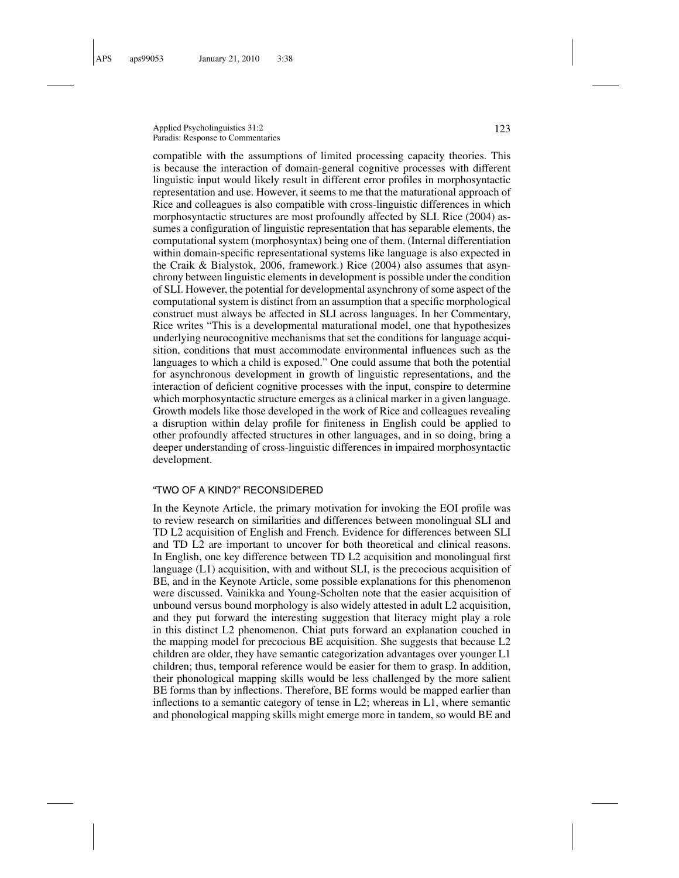Applied Psycholinguistics 31:2 123 Paradis: Response to Commentaries

compatible with the assumptions of limited processing capacity theories. This is because the interaction of domain-general cognitive processes with different linguistic input would likely result in different error profiles in morphosyntactic representation and use. However, it seems to me that the maturational approach of Rice and colleagues is also compatible with cross-linguistic differences in which morphosyntactic structures are most profoundly affected by SLI. Rice (2004) assumes a configuration of linguistic representation that has separable elements, the computational system (morphosyntax) being one of them. (Internal differentiation within domain-specific representational systems like language is also expected in the Craik & Bialystok, 2006, framework.) Rice (2004) also assumes that asynchrony between linguistic elements in development is possible under the condition of SLI. However, the potential for developmental asynchrony of some aspect of the computational system is distinct from an assumption that a specific morphological construct must always be affected in SLI across languages. In her Commentary, Rice writes "This is a developmental maturational model, one that hypothesizes underlying neurocognitive mechanisms that set the conditions for language acquisition, conditions that must accommodate environmental influences such as the languages to which a child is exposed." One could assume that both the potential for asynchronous development in growth of linguistic representations, and the interaction of deficient cognitive processes with the input, conspire to determine which morphosyntactic structure emerges as a clinical marker in a given language. Growth models like those developed in the work of Rice and colleagues revealing a disruption within delay profile for finiteness in English could be applied to other profoundly affected structures in other languages, and in so doing, bring a deeper understanding of cross-linguistic differences in impaired morphosyntactic development.

#### "TWO OF A KIND?" RECONSIDERED

In the Keynote Article, the primary motivation for invoking the EOI profile was to review research on similarities and differences between monolingual SLI and TD L2 acquisition of English and French. Evidence for differences between SLI and TD L2 are important to uncover for both theoretical and clinical reasons. In English, one key difference between TD L2 acquisition and monolingual first language (L1) acquisition, with and without SLI, is the precocious acquisition of BE, and in the Keynote Article, some possible explanations for this phenomenon were discussed. Vainikka and Young-Scholten note that the easier acquisition of unbound versus bound morphology is also widely attested in adult L2 acquisition, and they put forward the interesting suggestion that literacy might play a role in this distinct L2 phenomenon. Chiat puts forward an explanation couched in the mapping model for precocious BE acquisition. She suggests that because L2 children are older, they have semantic categorization advantages over younger L1 children; thus, temporal reference would be easier for them to grasp. In addition, their phonological mapping skills would be less challenged by the more salient BE forms than by inflections. Therefore, BE forms would be mapped earlier than inflections to a semantic category of tense in L2; whereas in L1, where semantic and phonological mapping skills might emerge more in tandem, so would BE and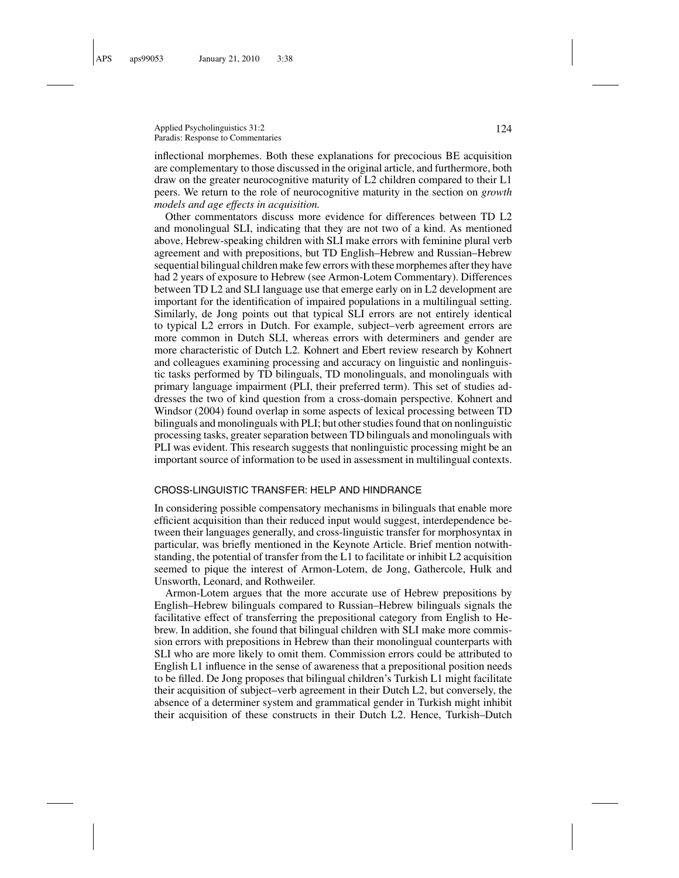Applied Psycholinguistics 31:2 124 Paradis: Response to Commentaries

inflectional morphemes. Both these explanations for precocious BE acquisition are complementary to those discussed in the original article, and furthermore, both draw on the greater neurocognitive maturity of L2 children compared to their L1 peers. We return to the role of neurocognitive maturity in the section on *growth models and age effects in acquisition.*

Other commentators discuss more evidence for differences between TD L2 and monolingual SLI, indicating that they are not two of a kind. As mentioned above, Hebrew-speaking children with SLI make errors with feminine plural verb agreement and with prepositions, but TD English–Hebrew and Russian–Hebrew sequential bilingual children make few errors with these morphemes after they have had 2 years of exposure to Hebrew (see Armon-Lotem Commentary). Differences between TD L2 and SLI language use that emerge early on in L2 development are important for the identification of impaired populations in a multilingual setting. Similarly, de Jong points out that typical SLI errors are not entirely identical to typical L2 errors in Dutch. For example, subject–verb agreement errors are more common in Dutch SLI, whereas errors with determiners and gender are more characteristic of Dutch L2. Kohnert and Ebert review research by Kohnert and colleagues examining processing and accuracy on linguistic and nonlinguistic tasks performed by TD bilinguals, TD monolinguals, and monolinguals with primary language impairment (PLI, their preferred term). This set of studies addresses the two of kind question from a cross-domain perspective. Kohnert and Windsor (2004) found overlap in some aspects of lexical processing between TD bilinguals and monolinguals with PLI; but other studies found that on nonlinguistic processing tasks, greater separation between TD bilinguals and monolinguals with PLI was evident. This research suggests that nonlinguistic processing might be an important source of information to be used in assessment in multilingual contexts.

#### CROSS-LINGUISTIC TRANSFER: HELP AND HINDRANCE

In considering possible compensatory mechanisms in bilinguals that enable more efficient acquisition than their reduced input would suggest, interdependence between their languages generally, and cross-linguistic transfer for morphosyntax in particular, was briefly mentioned in the Keynote Article. Brief mention notwithstanding, the potential of transfer from the L1 to facilitate or inhibit L2 acquisition seemed to pique the interest of Armon-Lotem, de Jong, Gathercole, Hulk and Unsworth, Leonard, and Rothweiler.

Armon-Lotem argues that the more accurate use of Hebrew prepositions by English–Hebrew bilinguals compared to Russian–Hebrew bilinguals signals the facilitative effect of transferring the prepositional category from English to Hebrew. In addition, she found that bilingual children with SLI make more commission errors with prepositions in Hebrew than their monolingual counterparts with SLI who are more likely to omit them. Commission errors could be attributed to English L1 influence in the sense of awareness that a prepositional position needs to be filled. De Jong proposes that bilingual children's Turkish L1 might facilitate their acquisition of subject–verb agreement in their Dutch L2, but conversely, the absence of a determiner system and grammatical gender in Turkish might inhibit their acquisition of these constructs in their Dutch L2. Hence, Turkish–Dutch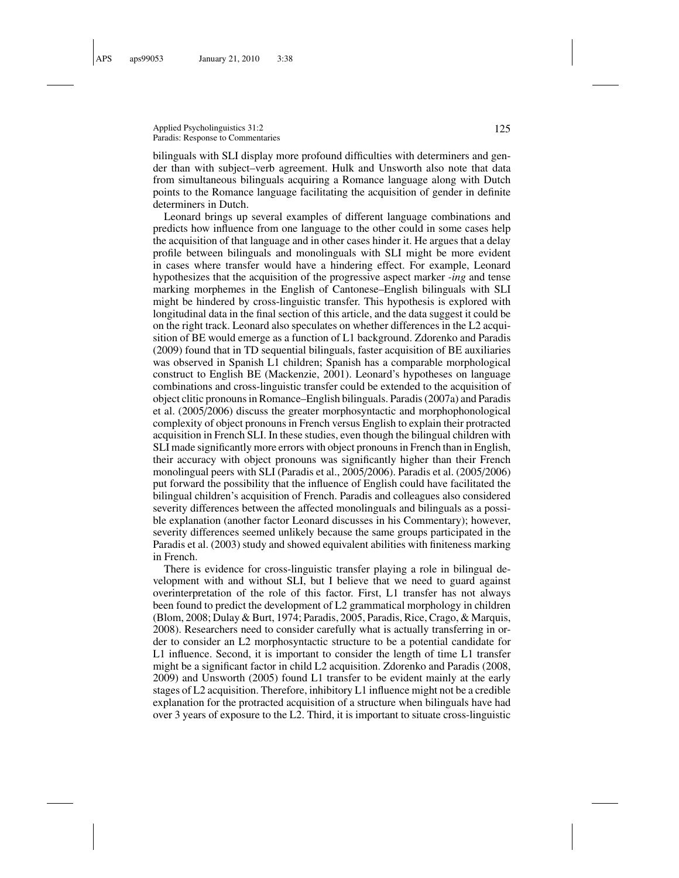Applied Psycholinguistics 31:2 125 Paradis: Response to Commentaries

bilinguals with SLI display more profound difficulties with determiners and gender than with subject–verb agreement. Hulk and Unsworth also note that data from simultaneous bilinguals acquiring a Romance language along with Dutch points to the Romance language facilitating the acquisition of gender in definite determiners in Dutch.

Leonard brings up several examples of different language combinations and predicts how influence from one language to the other could in some cases help the acquisition of that language and in other cases hinder it. He argues that a delay profile between bilinguals and monolinguals with SLI might be more evident in cases where transfer would have a hindering effect. For example, Leonard hypothesizes that the acquisition of the progressive aspect marker *-ing* and tense marking morphemes in the English of Cantonese–English bilinguals with SLI might be hindered by cross-linguistic transfer. This hypothesis is explored with longitudinal data in the final section of this article, and the data suggest it could be on the right track. Leonard also speculates on whether differences in the L2 acquisition of BE would emerge as a function of L1 background. Zdorenko and Paradis (2009) found that in TD sequential bilinguals, faster acquisition of BE auxiliaries was observed in Spanish L1 children; Spanish has a comparable morphological construct to English BE (Mackenzie, 2001). Leonard's hypotheses on language combinations and cross-linguistic transfer could be extended to the acquisition of object clitic pronouns in Romance–English bilinguals. Paradis (2007a) and Paradis et al. (2005/2006) discuss the greater morphosyntactic and morphophonological complexity of object pronouns in French versus English to explain their protracted acquisition in French SLI. In these studies, even though the bilingual children with SLI made significantly more errors with object pronouns in French than in English, their accuracy with object pronouns was significantly higher than their French monolingual peers with SLI (Paradis et al., 2005/2006). Paradis et al. (2005/2006) put forward the possibility that the influence of English could have facilitated the bilingual children's acquisition of French. Paradis and colleagues also considered severity differences between the affected monolinguals and bilinguals as a possible explanation (another factor Leonard discusses in his Commentary); however, severity differences seemed unlikely because the same groups participated in the Paradis et al. (2003) study and showed equivalent abilities with finiteness marking in French.

There is evidence for cross-linguistic transfer playing a role in bilingual development with and without SLI, but I believe that we need to guard against overinterpretation of the role of this factor. First, L1 transfer has not always been found to predict the development of L2 grammatical morphology in children (Blom, 2008; Dulay & Burt, 1974; Paradis, 2005, Paradis, Rice, Crago, & Marquis, 2008). Researchers need to consider carefully what is actually transferring in order to consider an L2 morphosyntactic structure to be a potential candidate for L1 influence. Second, it is important to consider the length of time L1 transfer might be a significant factor in child L2 acquisition. Zdorenko and Paradis (2008, 2009) and Unsworth (2005) found L1 transfer to be evident mainly at the early stages of L2 acquisition. Therefore, inhibitory L1 influence might not be a credible explanation for the protracted acquisition of a structure when bilinguals have had over 3 years of exposure to the L2. Third, it is important to situate cross-linguistic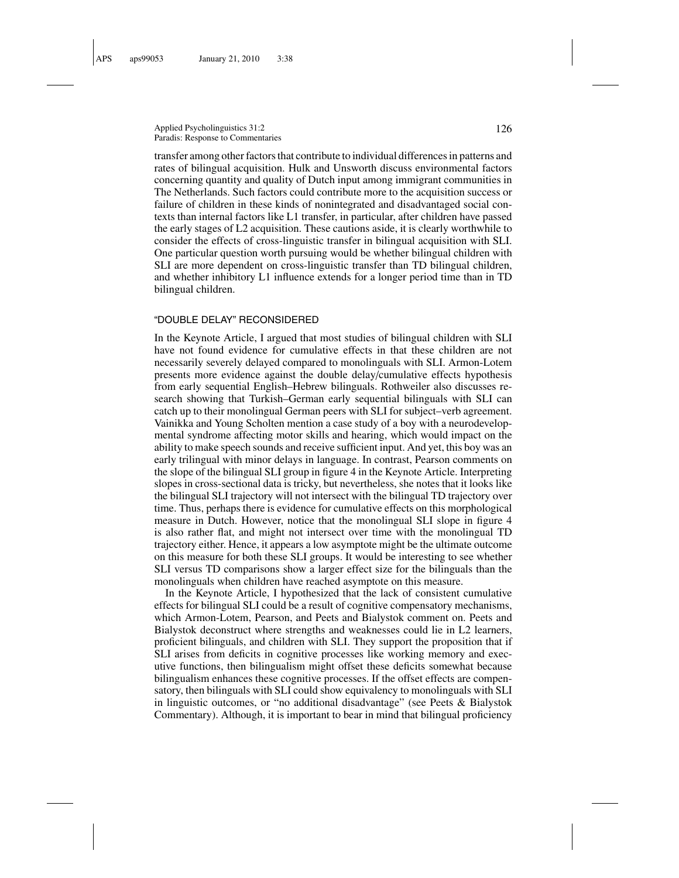Applied Psycholinguistics 31:2 126 Paradis: Response to Commentaries

transfer among other factors that contribute to individual differences in patterns and rates of bilingual acquisition. Hulk and Unsworth discuss environmental factors concerning quantity and quality of Dutch input among immigrant communities in The Netherlands. Such factors could contribute more to the acquisition success or failure of children in these kinds of nonintegrated and disadvantaged social contexts than internal factors like L1 transfer, in particular, after children have passed the early stages of L2 acquisition. These cautions aside, it is clearly worthwhile to consider the effects of cross-linguistic transfer in bilingual acquisition with SLI. One particular question worth pursuing would be whether bilingual children with SLI are more dependent on cross-linguistic transfer than TD bilingual children, and whether inhibitory L1 influence extends for a longer period time than in TD bilingual children.

#### "DOUBLE DELAY" RECONSIDERED

In the Keynote Article, I argued that most studies of bilingual children with SLI have not found evidence for cumulative effects in that these children are not necessarily severely delayed compared to monolinguals with SLI. Armon-Lotem presents more evidence against the double delay/cumulative effects hypothesis from early sequential English–Hebrew bilinguals. Rothweiler also discusses research showing that Turkish–German early sequential bilinguals with SLI can catch up to their monolingual German peers with SLI for subject–verb agreement. Vainikka and Young Scholten mention a case study of a boy with a neurodevelopmental syndrome affecting motor skills and hearing, which would impact on the ability to make speech sounds and receive sufficient input. And yet, this boy was an early trilingual with minor delays in language. In contrast, Pearson comments on the slope of the bilingual SLI group in figure 4 in the Keynote Article. Interpreting slopes in cross-sectional data is tricky, but nevertheless, she notes that it looks like the bilingual SLI trajectory will not intersect with the bilingual TD trajectory over time. Thus, perhaps there is evidence for cumulative effects on this morphological measure in Dutch. However, notice that the monolingual SLI slope in figure 4 is also rather flat, and might not intersect over time with the monolingual TD trajectory either. Hence, it appears a low asymptote might be the ultimate outcome on this measure for both these SLI groups. It would be interesting to see whether SLI versus TD comparisons show a larger effect size for the bilinguals than the monolinguals when children have reached asymptote on this measure.

In the Keynote Article, I hypothesized that the lack of consistent cumulative effects for bilingual SLI could be a result of cognitive compensatory mechanisms, which Armon-Lotem, Pearson, and Peets and Bialystok comment on. Peets and Bialystok deconstruct where strengths and weaknesses could lie in L2 learners, proficient bilinguals, and children with SLI. They support the proposition that if SLI arises from deficits in cognitive processes like working memory and executive functions, then bilingualism might offset these deficits somewhat because bilingualism enhances these cognitive processes. If the offset effects are compensatory, then bilinguals with SLI could show equivalency to monolinguals with SLI in linguistic outcomes, or "no additional disadvantage" (see Peets & Bialystok Commentary). Although, it is important to bear in mind that bilingual proficiency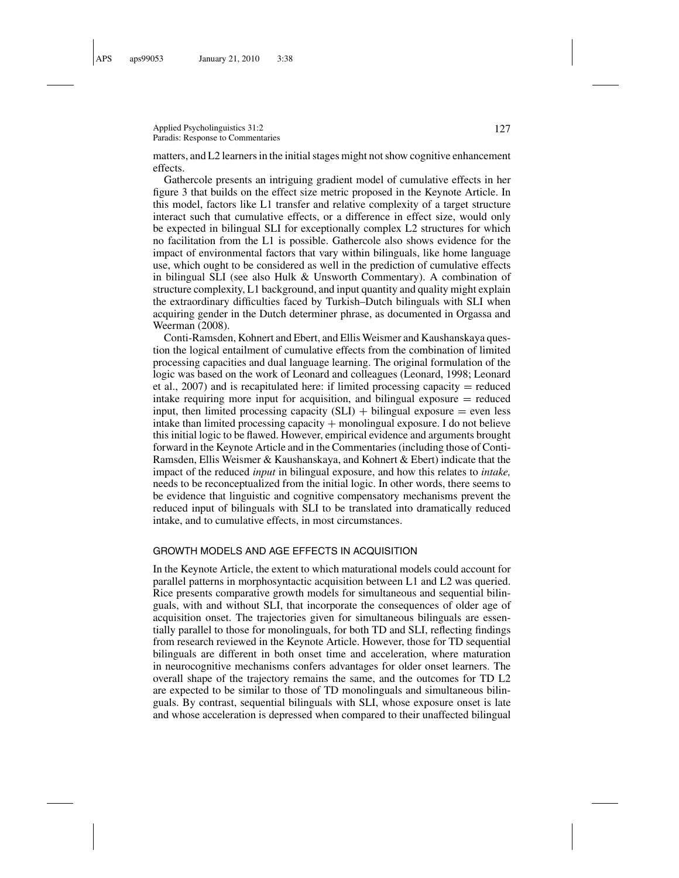Applied Psycholinguistics 31:2 127 Paradis: Response to Commentaries

matters, and L2 learners in the initial stages might not show cognitive enhancement effects.

Gathercole presents an intriguing gradient model of cumulative effects in her figure 3 that builds on the effect size metric proposed in the Keynote Article. In this model, factors like L1 transfer and relative complexity of a target structure interact such that cumulative effects, or a difference in effect size, would only be expected in bilingual SLI for exceptionally complex L2 structures for which no facilitation from the L1 is possible. Gathercole also shows evidence for the impact of environmental factors that vary within bilinguals, like home language use, which ought to be considered as well in the prediction of cumulative effects in bilingual SLI (see also Hulk & Unsworth Commentary). A combination of structure complexity, L1 background, and input quantity and quality might explain the extraordinary difficulties faced by Turkish–Dutch bilinguals with SLI when acquiring gender in the Dutch determiner phrase, as documented in Orgassa and Weerman (2008).

Conti-Ramsden, Kohnert and Ebert, and Ellis Weismer and Kaushanskaya question the logical entailment of cumulative effects from the combination of limited processing capacities and dual language learning. The original formulation of the logic was based on the work of Leonard and colleagues (Leonard, 1998; Leonard et al.,  $2007$ ) and is recapitulated here: if limited processing capacity = reduced intake requiring more input for acquisition, and bilingual exposure  $=$  reduced input, then limited processing capacity  $(SLI)$  + bilingual exposure = even less intake than limited processing capacity + monolingual exposure. I do not believe this initial logic to be flawed. However, empirical evidence and arguments brought forward in the Keynote Article and in the Commentaries (including those of Conti-Ramsden, Ellis Weismer & Kaushanskaya, and Kohnert & Ebert) indicate that the impact of the reduced *input* in bilingual exposure, and how this relates to *intake,* needs to be reconceptualized from the initial logic. In other words, there seems to be evidence that linguistic and cognitive compensatory mechanisms prevent the reduced input of bilinguals with SLI to be translated into dramatically reduced intake, and to cumulative effects, in most circumstances.

#### GROWTH MODELS AND AGE EFFECTS IN ACQUISITION

In the Keynote Article, the extent to which maturational models could account for parallel patterns in morphosyntactic acquisition between L1 and L2 was queried. Rice presents comparative growth models for simultaneous and sequential bilinguals, with and without SLI, that incorporate the consequences of older age of acquisition onset. The trajectories given for simultaneous bilinguals are essentially parallel to those for monolinguals, for both TD and SLI, reflecting findings from research reviewed in the Keynote Article. However, those for TD sequential bilinguals are different in both onset time and acceleration, where maturation in neurocognitive mechanisms confers advantages for older onset learners. The overall shape of the trajectory remains the same, and the outcomes for TD L2 are expected to be similar to those of TD monolinguals and simultaneous bilinguals. By contrast, sequential bilinguals with SLI, whose exposure onset is late and whose acceleration is depressed when compared to their unaffected bilingual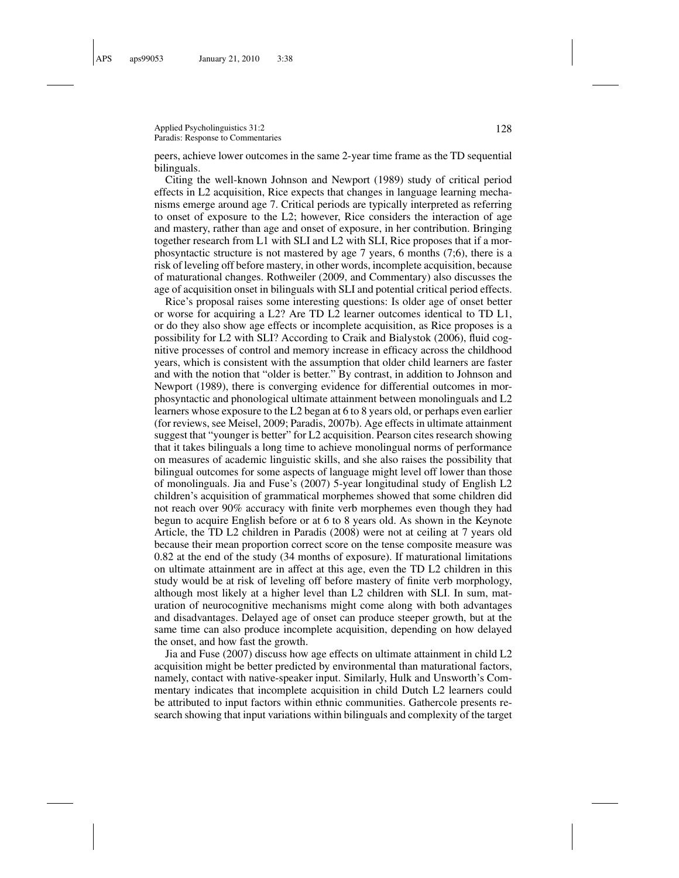Applied Psycholinguistics 31:2 128 Paradis: Response to Commentaries

peers, achieve lower outcomes in the same 2-year time frame as the TD sequential bilinguals.

Citing the well-known Johnson and Newport (1989) study of critical period effects in L2 acquisition, Rice expects that changes in language learning mechanisms emerge around age 7. Critical periods are typically interpreted as referring to onset of exposure to the L2; however, Rice considers the interaction of age and mastery, rather than age and onset of exposure, in her contribution. Bringing together research from L1 with SLI and L2 with SLI, Rice proposes that if a morphosyntactic structure is not mastered by age 7 years, 6 months (7;6), there is a risk of leveling off before mastery, in other words, incomplete acquisition, because of maturational changes. Rothweiler (2009, and Commentary) also discusses the age of acquisition onset in bilinguals with SLI and potential critical period effects.

Rice's proposal raises some interesting questions: Is older age of onset better or worse for acquiring a L2? Are TD L2 learner outcomes identical to TD L1, or do they also show age effects or incomplete acquisition, as Rice proposes is a possibility for L2 with SLI? According to Craik and Bialystok (2006), fluid cognitive processes of control and memory increase in efficacy across the childhood years, which is consistent with the assumption that older child learners are faster and with the notion that "older is better." By contrast, in addition to Johnson and Newport (1989), there is converging evidence for differential outcomes in morphosyntactic and phonological ultimate attainment between monolinguals and L2 learners whose exposure to the L2 began at 6 to 8 years old, or perhaps even earlier (for reviews, see Meisel, 2009; Paradis, 2007b). Age effects in ultimate attainment suggest that "younger is better" for L2 acquisition. Pearson cites research showing that it takes bilinguals a long time to achieve monolingual norms of performance on measures of academic linguistic skills, and she also raises the possibility that bilingual outcomes for some aspects of language might level off lower than those of monolinguals. Jia and Fuse's (2007) 5-year longitudinal study of English L2 children's acquisition of grammatical morphemes showed that some children did not reach over 90% accuracy with finite verb morphemes even though they had begun to acquire English before or at 6 to 8 years old. As shown in the Keynote Article, the TD L2 children in Paradis (2008) were not at ceiling at 7 years old because their mean proportion correct score on the tense composite measure was 0.82 at the end of the study (34 months of exposure). If maturational limitations on ultimate attainment are in affect at this age, even the TD L2 children in this study would be at risk of leveling off before mastery of finite verb morphology, although most likely at a higher level than L2 children with SLI. In sum, maturation of neurocognitive mechanisms might come along with both advantages and disadvantages. Delayed age of onset can produce steeper growth, but at the same time can also produce incomplete acquisition, depending on how delayed the onset, and how fast the growth.

Jia and Fuse (2007) discuss how age effects on ultimate attainment in child L2 acquisition might be better predicted by environmental than maturational factors, namely, contact with native-speaker input. Similarly, Hulk and Unsworth's Commentary indicates that incomplete acquisition in child Dutch L2 learners could be attributed to input factors within ethnic communities. Gathercole presents research showing that input variations within bilinguals and complexity of the target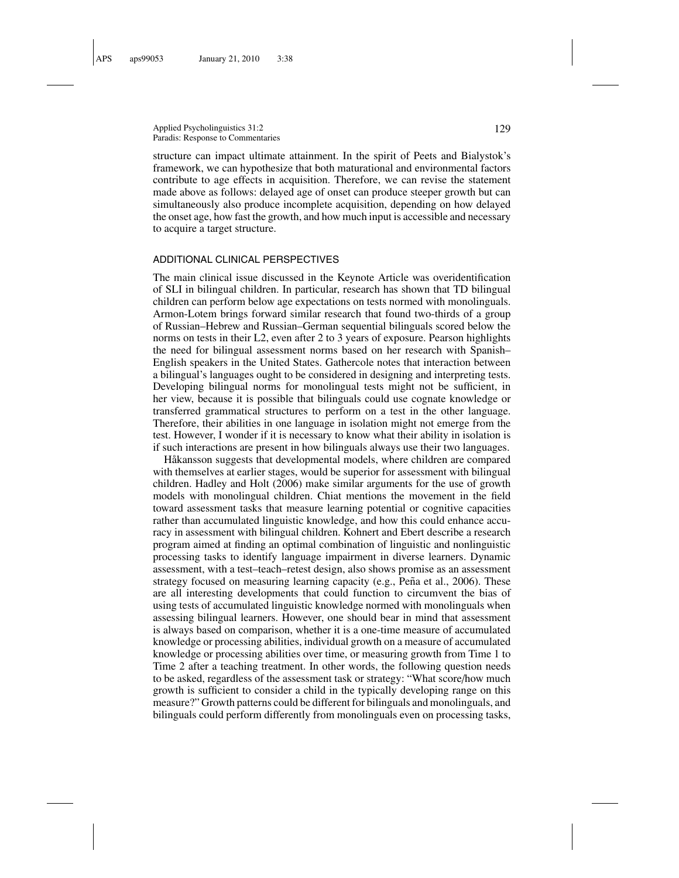Applied Psycholinguistics 31:2 129 Paradis: Response to Commentaries

structure can impact ultimate attainment. In the spirit of Peets and Bialystok's framework, we can hypothesize that both maturational and environmental factors contribute to age effects in acquisition. Therefore, we can revise the statement made above as follows: delayed age of onset can produce steeper growth but can simultaneously also produce incomplete acquisition, depending on how delayed the onset age, how fast the growth, and how much input is accessible and necessary to acquire a target structure.

#### ADDITIONAL CLINICAL PERSPECTIVES

The main clinical issue discussed in the Keynote Article was overidentification of SLI in bilingual children. In particular, research has shown that TD bilingual children can perform below age expectations on tests normed with monolinguals. Armon-Lotem brings forward similar research that found two-thirds of a group of Russian–Hebrew and Russian–German sequential bilinguals scored below the norms on tests in their L2, even after 2 to 3 years of exposure. Pearson highlights the need for bilingual assessment norms based on her research with Spanish– English speakers in the United States. Gathercole notes that interaction between a bilingual's languages ought to be considered in designing and interpreting tests. Developing bilingual norms for monolingual tests might not be sufficient, in her view, because it is possible that bilinguals could use cognate knowledge or transferred grammatical structures to perform on a test in the other language. Therefore, their abilities in one language in isolation might not emerge from the test. However, I wonder if it is necessary to know what their ability in isolation is if such interactions are present in how bilinguals always use their two languages.

Håkansson suggests that developmental models, where children are compared with themselves at earlier stages, would be superior for assessment with bilingual children. Hadley and Holt (2006) make similar arguments for the use of growth models with monolingual children. Chiat mentions the movement in the field toward assessment tasks that measure learning potential or cognitive capacities rather than accumulated linguistic knowledge, and how this could enhance accuracy in assessment with bilingual children. Kohnert and Ebert describe a research program aimed at finding an optimal combination of linguistic and nonlinguistic processing tasks to identify language impairment in diverse learners. Dynamic assessment, with a test–teach–retest design, also shows promise as an assessment strategy focused on measuring learning capacity (e.g., Peña et al., 2006). These are all interesting developments that could function to circumvent the bias of using tests of accumulated linguistic knowledge normed with monolinguals when assessing bilingual learners. However, one should bear in mind that assessment is always based on comparison, whether it is a one-time measure of accumulated knowledge or processing abilities, individual growth on a measure of accumulated knowledge or processing abilities over time, or measuring growth from Time 1 to Time 2 after a teaching treatment. In other words, the following question needs to be asked, regardless of the assessment task or strategy: "What score/how much growth is sufficient to consider a child in the typically developing range on this measure?" Growth patterns could be different for bilinguals and monolinguals, and bilinguals could perform differently from monolinguals even on processing tasks,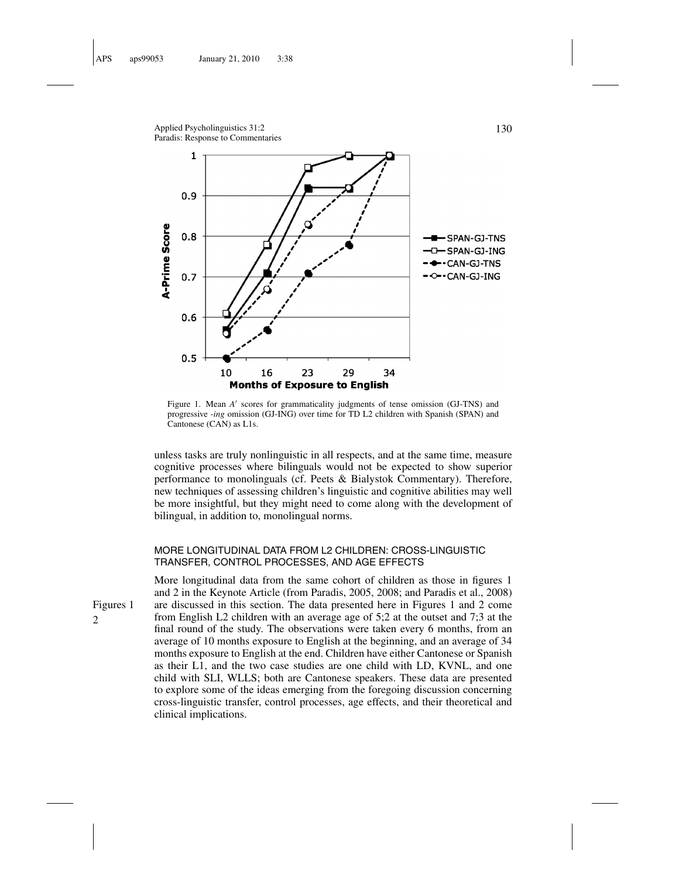

Figure 1. Mean *A'* scores for grammaticality judgments of tense omission (GJ-TNS) and progressive *-ing* omission (GJ-ING) over time for TD L2 children with Spanish (SPAN) and Cantonese (CAN) as L1s.

unless tasks are truly nonlinguistic in all respects, and at the same time, measure cognitive processes where bilinguals would not be expected to show superior performance to monolinguals (cf. Peets & Bialystok Commentary). Therefore, new techniques of assessing children's linguistic and cognitive abilities may well be more insightful, but they might need to come along with the development of bilingual, in addition to, monolingual norms.

## MORE LONGITUDINAL DATA FROM L2 CHILDREN: CROSS-LINGUISTIC TRANSFER, CONTROL PROCESSES, AND AGE EFFECTS

More longitudinal data from the same cohort of children as those in figures 1 and 2 in the Keynote Article (from Paradis, 2005, 2008; and Paradis et al., 2008) Figures 1 are discussed in this section. The data presented here in Figures 1 and 2 come 2 from English L2 children with an average age of 5;2 at the outset and 7;3 at the final round of the study. The observations were taken every 6 months, from an average of 10 months exposure to English at the beginning, and an average of 34 months exposure to English at the end. Children have either Cantonese or Spanish as their L1, and the two case studies are one child with LD, KVNL, and one child with SLI, WLLS; both are Cantonese speakers. These data are presented to explore some of the ideas emerging from the foregoing discussion concerning cross-linguistic transfer, control processes, age effects, and their theoretical and clinical implications.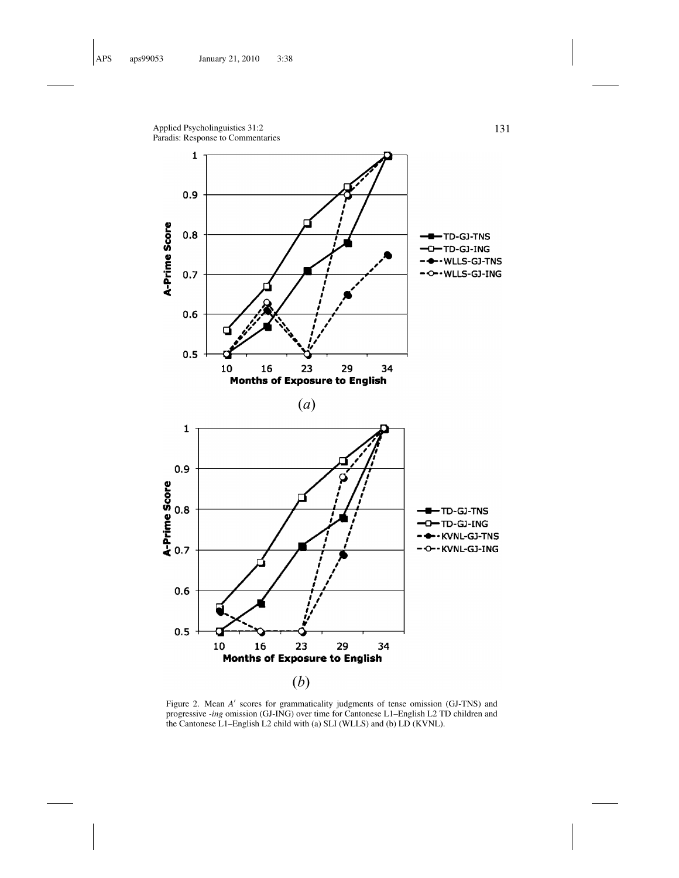Applied Psycholinguistics 31:2 131 Paradis: Response to Commentaries



Figure 2. Mean *A'* scores for grammaticality judgments of tense omission (GJ-TNS) and progressive *-ing* omission (GJ-ING) over time for Cantonese L1–English L2 TD children and the Cantonese L1–English L2 child with (a) SLI (WLLS) and (b) LD (KVNL).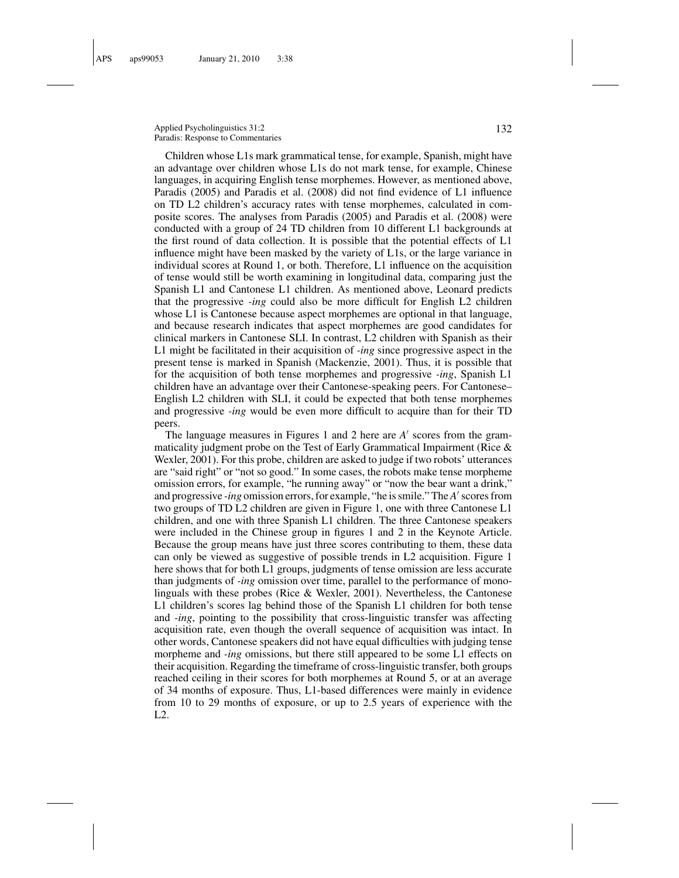Applied Psycholinguistics 31:2 132 Paradis: Response to Commentaries

Children whose L1s mark grammatical tense, for example, Spanish, might have an advantage over children whose L1s do not mark tense, for example, Chinese languages, in acquiring English tense morphemes. However, as mentioned above, Paradis (2005) and Paradis et al. (2008) did not find evidence of L1 influence on TD L2 children's accuracy rates with tense morphemes, calculated in composite scores. The analyses from Paradis (2005) and Paradis et al. (2008) were conducted with a group of 24 TD children from 10 different L1 backgrounds at the first round of data collection. It is possible that the potential effects of L1 influence might have been masked by the variety of L1s, or the large variance in individual scores at Round 1, or both. Therefore, L1 influence on the acquisition of tense would still be worth examining in longitudinal data, comparing just the Spanish L1 and Cantonese L1 children. As mentioned above, Leonard predicts that the progressive *-ing* could also be more difficult for English L2 children whose L1 is Cantonese because aspect morphemes are optional in that language, and because research indicates that aspect morphemes are good candidates for clinical markers in Cantonese SLI. In contrast, L2 children with Spanish as their L1 might be facilitated in their acquisition of *-ing* since progressive aspect in the present tense is marked in Spanish (Mackenzie, 2001). Thus, it is possible that for the acquisition of both tense morphemes and progressive *-ing*, Spanish L1 children have an advantage over their Cantonese-speaking peers. For Cantonese– English L2 children with SLI, it could be expected that both tense morphemes and progressive *-ing* would be even more difficult to acquire than for their TD peers.

The language measures in Figures 1 and 2 here are *A'* scores from the grammaticality judgment probe on the Test of Early Grammatical Impairment (Rice & Wexler, 2001). For this probe, children are asked to judge if two robots' utterances are "said right" or "not so good." In some cases, the robots make tense morpheme omission errors, for example, "he running away" or "now the bear want a drink," and progressive *-ing* omission errors, for example, "he is smile." The *A'* scores from two groups of TD L2 children are given in Figure 1, one with three Cantonese L1 children, and one with three Spanish L1 children. The three Cantonese speakers were included in the Chinese group in figures 1 and 2 in the Keynote Article. Because the group means have just three scores contributing to them, these data can only be viewed as suggestive of possible trends in L2 acquisition. Figure 1 here shows that for both L1 groups, judgments of tense omission are less accurate than judgments of *-ing* omission over time, parallel to the performance of monolinguals with these probes (Rice & Wexler, 2001). Nevertheless, the Cantonese L1 children's scores lag behind those of the Spanish L1 children for both tense and *-ing*, pointing to the possibility that cross-linguistic transfer was affecting acquisition rate, even though the overall sequence of acquisition was intact. In other words, Cantonese speakers did not have equal difficulties with judging tense morpheme and *-ing* omissions, but there still appeared to be some L1 effects on their acquisition. Regarding the timeframe of cross-linguistic transfer, both groups reached ceiling in their scores for both morphemes at Round 5, or at an average of 34 months of exposure. Thus, L1-based differences were mainly in evidence from 10 to 29 months of exposure, or up to 2.5 years of experience with the  $L2$ .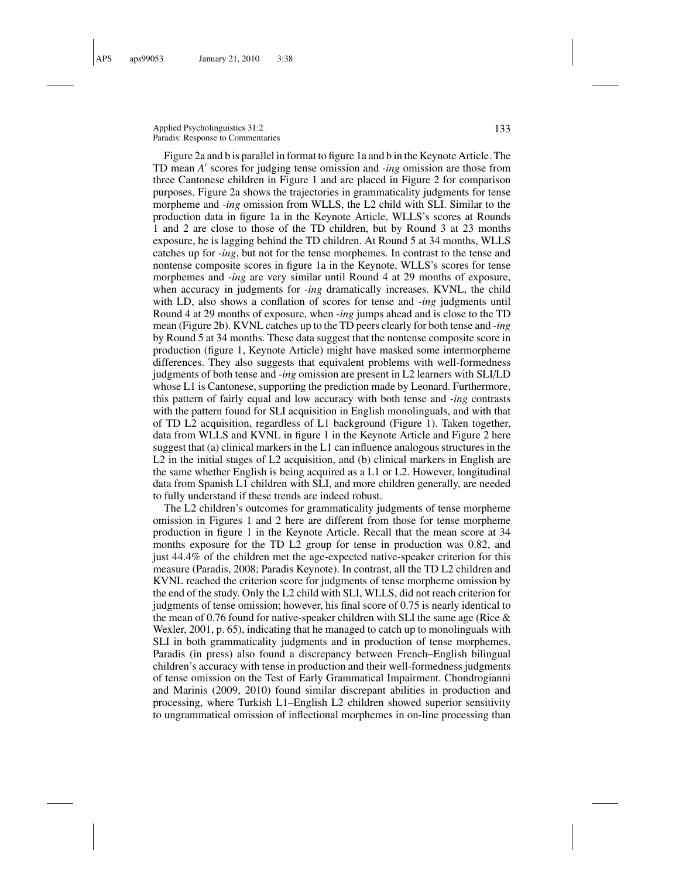Applied Psycholinguistics 31:2 133 Paradis: Response to Commentaries

Figure 2a and b is parallel in format to figure 1a and b in the Keynote Article. The TD mean *A'* scores for judging tense omission and *-ing* omission are those from three Cantonese children in Figure 1 and are placed in Figure 2 for comparison purposes. Figure 2a shows the trajectories in grammaticality judgments for tense morpheme and *-ing* omission from WLLS, the L2 child with SLI. Similar to the production data in figure 1a in the Keynote Article, WLLS's scores at Rounds 1 and 2 are close to those of the TD children, but by Round 3 at 23 months exposure, he is lagging behind the TD children. At Round 5 at 34 months, WLLS catches up for *-ing*, but not for the tense morphemes. In contrast to the tense and nontense composite scores in figure 1a in the Keynote, WLLS's scores for tense morphemes and *-ing* are very similar until Round 4 at 29 months of exposure, when accuracy in judgments for *-ing* dramatically increases. KVNL, the child with LD, also shows a conflation of scores for tense and *-ing* judgments until Round 4 at 29 months of exposure, when *-ing* jumps ahead and is close to the TD mean (Figure 2b). KVNL catches up to the TD peers clearly for both tense and *-ing* by Round 5 at 34 months. These data suggest that the nontense composite score in production (figure 1, Keynote Article) might have masked some intermorpheme differences. They also suggests that equivalent problems with well-formedness judgments of both tense and *-ing* omission are present in L2 learners with SLI/LD whose L1 is Cantonese, supporting the prediction made by Leonard. Furthermore, this pattern of fairly equal and low accuracy with both tense and *-ing* contrasts with the pattern found for SLI acquisition in English monolinguals, and with that of TD L2 acquisition, regardless of L1 background (Figure 1). Taken together, data from WLLS and KVNL in figure 1 in the Keynote Article and Figure 2 here suggest that (a) clinical markers in the L1 can influence analogous structures in the L2 in the initial stages of L2 acquisition, and (b) clinical markers in English are the same whether English is being acquired as a L1 or L2. However, longitudinal data from Spanish L1 children with SLI, and more children generally, are needed to fully understand if these trends are indeed robust.

The L2 children's outcomes for grammaticality judgments of tense morpheme omission in Figures 1 and 2 here are different from those for tense morpheme production in figure 1 in the Keynote Article. Recall that the mean score at 34 months exposure for the TD L2 group for tense in production was 0.82, and just 44.4% of the children met the age-expected native-speaker criterion for this measure (Paradis, 2008; Paradis Keynote). In contrast, all the TD L2 children and KVNL reached the criterion score for judgments of tense morpheme omission by the end of the study. Only the L2 child with SLI, WLLS, did not reach criterion for judgments of tense omission; however, his final score of 0.75 is nearly identical to the mean of 0.76 found for native-speaker children with SLI the same age (Rice  $\&$ Wexler, 2001, p. 65), indicating that he managed to catch up to monolinguals with SLI in both grammaticality judgments and in production of tense morphemes. Paradis (in press) also found a discrepancy between French–English bilingual children's accuracy with tense in production and their well-formedness judgments of tense omission on the Test of Early Grammatical Impairment. Chondrogianni and Marinis (2009, 2010) found similar discrepant abilities in production and processing, where Turkish L1–English L2 children showed superior sensitivity to ungrammatical omission of inflectional morphemes in on-line processing than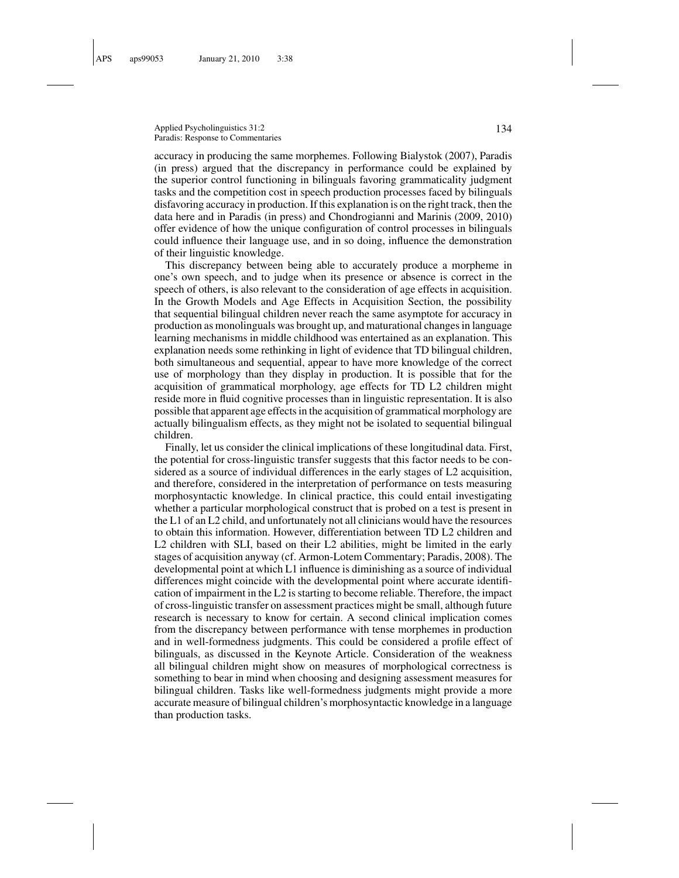Applied Psycholinguistics 31:2 134 Paradis: Response to Commentaries

accuracy in producing the same morphemes. Following Bialystok (2007), Paradis (in press) argued that the discrepancy in performance could be explained by the superior control functioning in bilinguals favoring grammaticality judgment tasks and the competition cost in speech production processes faced by bilinguals disfavoring accuracy in production. If this explanation is on the right track, then the data here and in Paradis (in press) and Chondrogianni and Marinis (2009, 2010) offer evidence of how the unique configuration of control processes in bilinguals could influence their language use, and in so doing, influence the demonstration of their linguistic knowledge.

This discrepancy between being able to accurately produce a morpheme in one's own speech, and to judge when its presence or absence is correct in the speech of others, is also relevant to the consideration of age effects in acquisition. In the Growth Models and Age Effects in Acquisition Section, the possibility that sequential bilingual children never reach the same asymptote for accuracy in production as monolinguals was brought up, and maturational changes in language learning mechanisms in middle childhood was entertained as an explanation. This explanation needs some rethinking in light of evidence that TD bilingual children, both simultaneous and sequential, appear to have more knowledge of the correct use of morphology than they display in production. It is possible that for the acquisition of grammatical morphology, age effects for TD L2 children might reside more in fluid cognitive processes than in linguistic representation. It is also possible that apparent age effects in the acquisition of grammatical morphology are actually bilingualism effects, as they might not be isolated to sequential bilingual children.

Finally, let us consider the clinical implications of these longitudinal data. First, the potential for cross-linguistic transfer suggests that this factor needs to be considered as a source of individual differences in the early stages of L2 acquisition, and therefore, considered in the interpretation of performance on tests measuring morphosyntactic knowledge. In clinical practice, this could entail investigating whether a particular morphological construct that is probed on a test is present in the L1 of an L2 child, and unfortunately not all clinicians would have the resources to obtain this information. However, differentiation between TD L2 children and L2 children with SLI, based on their L2 abilities, might be limited in the early stages of acquisition anyway (cf. Armon-Lotem Commentary; Paradis, 2008). The developmental point at which L1 influence is diminishing as a source of individual differences might coincide with the developmental point where accurate identification of impairment in the L2 is starting to become reliable. Therefore, the impact of cross-linguistic transfer on assessment practices might be small, although future research is necessary to know for certain. A second clinical implication comes from the discrepancy between performance with tense morphemes in production and in well-formedness judgments. This could be considered a profile effect of bilinguals, as discussed in the Keynote Article. Consideration of the weakness all bilingual children might show on measures of morphological correctness is something to bear in mind when choosing and designing assessment measures for bilingual children. Tasks like well-formedness judgments might provide a more accurate measure of bilingual children's morphosyntactic knowledge in a language than production tasks.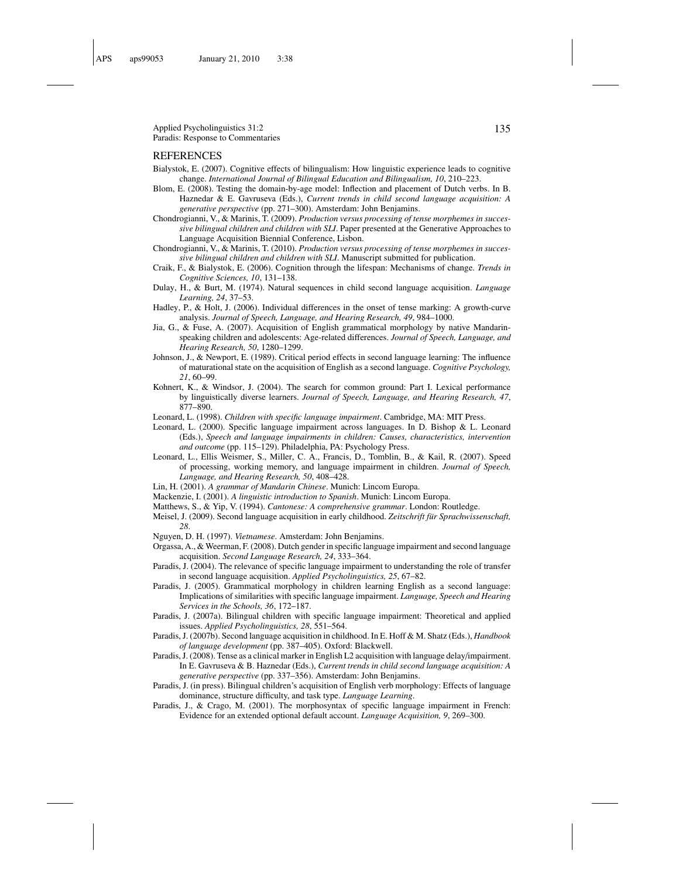Applied Psycholinguistics 31:2 135 Paradis: Response to Commentaries

#### REFERENCES

- Bialystok, E. (2007). Cognitive effects of bilingualism: How linguistic experience leads to cognitive change. *International Journal of Bilingual Education and Bilingualism, 10*, 210–223.
- Blom, E. (2008). Testing the domain-by-age model: Inflection and placement of Dutch verbs. In B. Haznedar & E. Gavruseva (Eds.), *Current trends in child second language acquisition: A generative perspective* (pp. 271–300). Amsterdam: John Benjamins.
- Chondrogianni, V., & Marinis, T. (2009). *Production versus processing of tense morphemes in successive bilingual children and children with SLI*. Paper presented at the Generative Approaches to Language Acquisition Biennial Conference, Lisbon.
- Chondrogianni, V., & Marinis, T. (2010). *Production versus processing of tense morphemes in successive bilingual children and children with SLI*. Manuscript submitted for publication.
- Craik, F., & Bialystok, E. (2006). Cognition through the lifespan: Mechanisms of change. *Trends in Cognitive Sciences, 10*, 131–138.
- Dulay, H., & Burt, M. (1974). Natural sequences in child second language acquisition. *Language Learning, 24*, 37–53.
- Hadley, P., & Holt, J. (2006). Individual differences in the onset of tense marking: A growth-curve analysis. *Journal of Speech, Language, and Hearing Research, 49*, 984–1000.
- Jia, G., & Fuse, A. (2007). Acquisition of English grammatical morphology by native Mandarinspeaking children and adolescents: Age-related differences. *Journal of Speech, Language, and Hearing Research, 50*, 1280–1299.
- Johnson, J., & Newport, E. (1989). Critical period effects in second language learning: The influence of maturational state on the acquisition of English as a second language. *Cognitive Psychology, 21*, 60–99.
- Kohnert, K., & Windsor, J. (2004). The search for common ground: Part I. Lexical performance by linguistically diverse learners. *Journal of Speech, Language, and Hearing Research, 47*, 877–890.
- Leonard, L. (1998). *Children with specific language impairment*. Cambridge, MA: MIT Press.
- Leonard, L. (2000). Specific language impairment across languages. In D. Bishop & L. Leonard (Eds.), *Speech and language impairments in children: Causes, characteristics, intervention and outcome* (pp. 115–129). Philadelphia, PA: Psychology Press.
- Leonard, L., Ellis Weismer, S., Miller, C. A., Francis, D., Tomblin, B., & Kail, R. (2007). Speed of processing, working memory, and language impairment in children. *Journal of Speech, Language, and Hearing Research, 50*, 408–428.
- Lin, H. (2001). *A grammar of Mandarin Chinese*. Munich: Lincom Europa.
- Mackenzie, I. (2001). *A linguistic introduction to Spanish*. Munich: Lincom Europa.
- Matthews, S., & Yip, V. (1994). *Cantonese: A comprehensive grammar*. London: Routledge.
- Meisel, J. (2009). Second language acquisition in early childhood. *Zeitschrift fur Sprachwissenschaft, ¨ 28*.
- Nguyen, D. H. (1997). *Vietnamese*. Amsterdam: John Benjamins.
- Orgassa, A., & Weerman, F. (2008). Dutch gender in specific language impairment and second language acquisition. *Second Language Research, 24*, 333–364.
- Paradis, J. (2004). The relevance of specific language impairment to understanding the role of transfer in second language acquisition. *Applied Psycholinguistics, 25*, 67–82.
- Paradis, J. (2005). Grammatical morphology in children learning English as a second language: Implications of similarities with specific language impairment. *Language, Speech and Hearing Services in the Schools, 36*, 172–187.
- Paradis, J. (2007a). Bilingual children with specific language impairment: Theoretical and applied issues. *Applied Psycholinguistics, 28*, 551–564.
- Paradis, J. (2007b). Second language acquisition in childhood. In E. Hoff & M. Shatz (Eds.), *Handbook of language development* (pp. 387–405). Oxford: Blackwell.
- Paradis, J. (2008). Tense as a clinical marker in English L2 acquisition with language delay/impairment. In E. Gavruseva & B. Haznedar (Eds.), *Current trends in child second language acquisition: A generative perspective* (pp. 337–356). Amsterdam: John Benjamins.
- Paradis, J. (in press). Bilingual children's acquisition of English verb morphology: Effects of language dominance, structure difficulty, and task type. *Language Learning*.
- Paradis, J., & Crago, M. (2001). The morphosyntax of specific language impairment in French: Evidence for an extended optional default account. *Language Acquisition, 9*, 269–300.